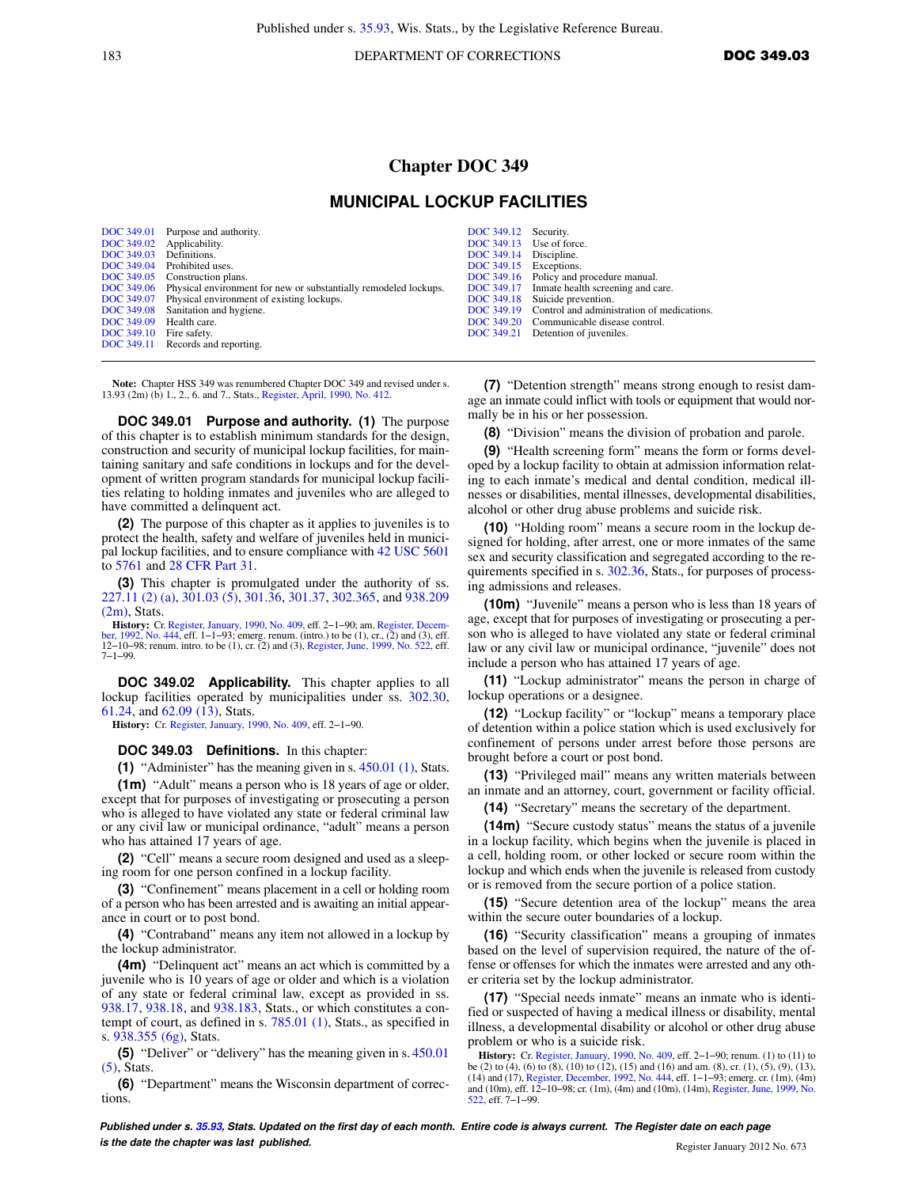183 **DOC 349.03 DEPARTMENT OF CORRECTIONS DOC 349.03** 

## **Chapter DOC 349**

## **MUNICIPAL LOCKUP FACILITIES**

| <b>DOC</b> 349.01 | Purpose and authority.                                           |
|-------------------|------------------------------------------------------------------|
| DOC 349.02        | Applicability.                                                   |
| DOC 349.03        | Definitions.                                                     |
| DOC 349.04        | Prohibited uses.                                                 |
| DOC 349.05        | Construction plans.                                              |
| DOC 349.06        | Physical environment for new or substantially remodeled lockups. |
| DOC 349.07        | Physical environment of existing lockups.                        |
| DOC 349.08        | Sanitation and hygiene.                                          |
| DOC 349.09        | Health care.                                                     |
| DOC 349.10        | Fire safety.                                                     |
| DOC 349.11        | Records and reporting.                                           |

**Note:** Chapter HSS 349 was renumbered Chapter DOC 349 and revised under s. 13.93 (2m) (b) 1., 2., 6. and 7., Stats., [Register, April, 1990, No. 412.](https://docs.legis.wisconsin.gov/document/register/412/B/toc)

**DOC 349.01 Purpose and authority. (1)** The purpose of this chapter is to establish minimum standards for the design, construction and security of municipal lockup facilities, for maintaining sanitary and safe conditions in lockups and for the development of written program standards for municipal lockup facilities relating to holding inmates and juveniles who are alleged to have committed a delinquent act.

**(2)** The purpose of this chapter as it applies to juveniles is to protect the health, safety and welfare of juveniles held in municipal lockup facilities, and to ensure compliance with [42 USC 5601](https://docs.legis.wisconsin.gov/document/usc/42%20USC%205601) to [5761](https://docs.legis.wisconsin.gov/document/usc/42%20USC%205761) and [28 CFR Part 31](https://docs.legis.wisconsin.gov/document/cfr/28%20CFR%2031).

**(3)** This chapter is promulgated under the authority of ss. [227.11 \(2\) \(a\)](https://docs.legis.wisconsin.gov/document/statutes/227.11(2)(a)), [301.03 \(5\),](https://docs.legis.wisconsin.gov/document/statutes/301.03(5)) [301.36](https://docs.legis.wisconsin.gov/document/statutes/301.36), [301.37](https://docs.legis.wisconsin.gov/document/statutes/301.37), [302.365](https://docs.legis.wisconsin.gov/document/statutes/302.365), and [938.209](https://docs.legis.wisconsin.gov/document/statutes/938.209(2m)) [\(2m\)](https://docs.legis.wisconsin.gov/document/statutes/938.209(2m)), Stats.

**History:** Cr. [Register, January, 1990, No. 409,](https://docs.legis.wisconsin.gov/document/register/409/B/toc) eff. 2–1–90; am. Register, Decem[ber, 1992, No. 444](https://docs.legis.wisconsin.gov/document/register/444/B/toc), eff. 1–1–93; emerg. renum. (intro.) to be (1), cr., (2) and (3), eff. 12−10−98; renum. intro. to be (1), cr. (2) and (3), [Register, June, 1999, No. 522](https://docs.legis.wisconsin.gov/document/register/522/B/toc), eff. 7−1−99.

**DOC 349.02 Applicability.** This chapter applies to all lockup facilities operated by municipalities under ss. [302.30,](https://docs.legis.wisconsin.gov/document/statutes/302.30) [61.24](https://docs.legis.wisconsin.gov/document/statutes/61.24), and [62.09 \(13\),](https://docs.legis.wisconsin.gov/document/statutes/62.09(13)) Stats.

**History:** Cr. [Register, January, 1990, No. 409](https://docs.legis.wisconsin.gov/document/register/409/B/toc), eff. 2−1−90.

## **DOC 349.03 Definitions.** In this chapter:

**(1)** "Administer" has the meaning given in s. [450.01 \(1\)](https://docs.legis.wisconsin.gov/document/statutes/450.01(1)), Stats.

**(1m)** "Adult" means a person who is 18 years of age or older, except that for purposes of investigating or prosecuting a person who is alleged to have violated any state or federal criminal law or any civil law or municipal ordinance, "adult" means a person who has attained 17 years of age.

**(2)** "Cell" means a secure room designed and used as a sleeping room for one person confined in a lockup facility.

**(3)** "Confinement" means placement in a cell or holding room of a person who has been arrested and is awaiting an initial appearance in court or to post bond.

**(4)** "Contraband" means any item not allowed in a lockup by the lockup administrator.

**(4m)** "Delinquent act" means an act which is committed by a juvenile who is 10 years of age or older and which is a violation of any state or federal criminal law, except as provided in ss. [938.17,](https://docs.legis.wisconsin.gov/document/statutes/938.17) [938.18](https://docs.legis.wisconsin.gov/document/statutes/938.18), and [938.183](https://docs.legis.wisconsin.gov/document/statutes/938.183), Stats., or which constitutes a contempt of court, as defined in s. [785.01 \(1\),](https://docs.legis.wisconsin.gov/document/statutes/785.01(1)) Stats., as specified in s. [938.355 \(6g\),](https://docs.legis.wisconsin.gov/document/statutes/938.355(6g)) Stats.

**(5)** "Deliver" or "delivery" has the meaning given in s. [450.01](https://docs.legis.wisconsin.gov/document/statutes/450.01(5)) [\(5\)](https://docs.legis.wisconsin.gov/document/statutes/450.01(5)), Stats.

**(6)** "Department" means the Wisconsin department of corrections.

[DOC 349.12](https://docs.legis.wisconsin.gov/document/administrativecode/DOC%20349.12) Security.<br>DOC 349.13 Use of fo [DOC 349.13](https://docs.legis.wisconsin.gov/document/administrativecode/DOC%20349.13) Use of force.<br>DOC 349.14 Discipline. Discipline. [DOC 349.15](https://docs.legis.wisconsin.gov/document/administrativecode/DOC%20349.15) Exceptions.<br>DOC 349.16 Policy and [DOC 349.16](https://docs.legis.wisconsin.gov/document/administrativecode/DOC%20349.16) Policy and procedure manual.<br>DOC 349.17 Inmate health screening and c<br>DOC 349.18 Suicide prevention. Inmate health screening and care. [DOC 349.18](https://docs.legis.wisconsin.gov/document/administrativecode/DOC%20349.18) Suicide prevention.<br>DOC 349.19 Control and admini-[DOC 349.19](https://docs.legis.wisconsin.gov/document/administrativecode/DOC%20349.19) Control and administration of medications.<br>DOC 349.20 Communicable disease control. Communicable disease control. [DOC 349.21](https://docs.legis.wisconsin.gov/document/administrativecode/DOC%20349.21) Detention of juveniles.

**(7)** "Detention strength" means strong enough to resist damage an inmate could inflict with tools or equipment that would normally be in his or her possession.

**(8)** "Division" means the division of probation and parole.

**(9)** "Health screening form" means the form or forms developed by a lockup facility to obtain at admission information relating to each inmate's medical and dental condition, medical illnesses or disabilities, mental illnesses, developmental disabilities, alcohol or other drug abuse problems and suicide risk.

**(10)** "Holding room" means a secure room in the lockup designed for holding, after arrest, one or more inmates of the same sex and security classification and segregated according to the re-quirements specified in s. [302.36](https://docs.legis.wisconsin.gov/document/statutes/302.36), Stats., for purposes of processing admissions and releases.

**(10m)** "Juvenile" means a person who is less than 18 years of age, except that for purposes of investigating or prosecuting a person who is alleged to have violated any state or federal criminal law or any civil law or municipal ordinance, "juvenile" does not include a person who has attained 17 years of age.

**(11)** "Lockup administrator" means the person in charge of lockup operations or a designee.

**(12)** "Lockup facility" or "lockup" means a temporary place of detention within a police station which is used exclusively for confinement of persons under arrest before those persons are brought before a court or post bond.

**(13)** "Privileged mail" means any written materials between an inmate and an attorney, court, government or facility official.

**(14)** "Secretary" means the secretary of the department.

**(14m)** "Secure custody status" means the status of a juvenile in a lockup facility, which begins when the juvenile is placed in a cell, holding room, or other locked or secure room within the lockup and which ends when the juvenile is released from custody or is removed from the secure portion of a police station.

**(15)** "Secure detention area of the lockup" means the area within the secure outer boundaries of a lockup.

**(16)** "Security classification" means a grouping of inmates based on the level of supervision required, the nature of the offense or offenses for which the inmates were arrested and any other criteria set by the lockup administrator.

**(17)** "Special needs inmate" means an inmate who is identified or suspected of having a medical illness or disability, mental illness, a developmental disability or alcohol or other drug abuse problem or who is a suicide risk.

**History:** Cr. [Register, January, 1990, No. 409,](https://docs.legis.wisconsin.gov/document/register/409/B/toc) eff. 2−1−90; renum. (1) to (11) to be (2) to (4), (6) to (8), (10) to (12), (15) and (16) and am. (8), cr. (1), (5), (9), (13), (14) and (17), [Register, December, 1992, No. 444,](https://docs.legis.wisconsin.gov/document/register/444/B/toc) eff. 1−1−93; emerg. cr. (1m), (4m) and (10m), eff. 12−10−98; cr. (1m), (4m) and (10m), (14m), [Register, June, 1999, No.](https://docs.legis.wisconsin.gov/document/register/522/B/toc) [522,](https://docs.legis.wisconsin.gov/document/register/522/B/toc) eff. 7−1−99.

**Published under s. [35.93,](https://docs.legis.wisconsin.gov/document/statutes/35.93) Stats. Updated on the first day of each month. Entire code is always current. The Register date on each page is the date the chapter was last published. Compared the chapter of the chapter of the date the chapter vasi and the chapter of the chapter of the chapter of the chapter of the chapter of the chapter of the chapter of t**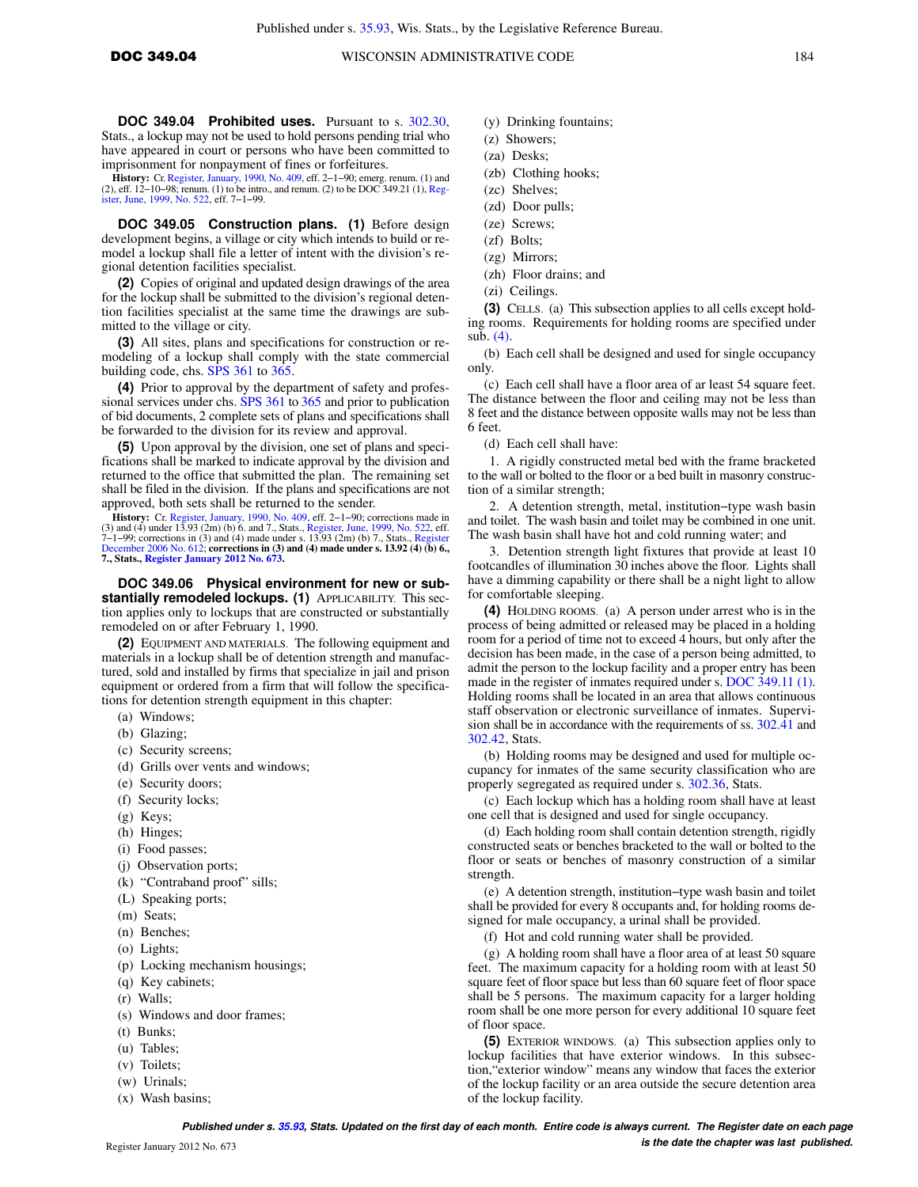**DOC 349.04 Prohibited uses.** Pursuant to s. [302.30,](https://docs.legis.wisconsin.gov/document/statutes/302.30) Stats., a lockup may not be used to hold persons pending trial who have appeared in court or persons who have been committed to imprisonment for nonpayment of fines or forfeitures.

**History:** Cr. [Register, January, 1990, No. 409](https://docs.legis.wisconsin.gov/document/register/409/B/toc), eff. 2−1−90; emerg. renum. (1) and (2), eff. 12−10−98; renum. (1) to be intro., and renum. (2) to be DOC 349.21 (1), Reg-<br>[ister, June, 1999, No. 522,](https://docs.legis.wisconsin.gov/document/register/522/B/toc) eff. 7−1−99.

**DOC 349.05 Construction plans. (1)** Before design development begins, a village or city which intends to build or remodel a lockup shall file a letter of intent with the division's regional detention facilities specialist.

**(2)** Copies of original and updated design drawings of the area for the lockup shall be submitted to the division's regional detention facilities specialist at the same time the drawings are submitted to the village or city.

**(3)** All sites, plans and specifications for construction or remodeling of a lockup shall comply with the state commercial building code, chs. [SPS 361](https://docs.legis.wisconsin.gov/document/administrativecode/ch.%20SPS%20361) to [365](https://docs.legis.wisconsin.gov/document/administrativecode/ch.%20SPS%20365).

**(4)** Prior to approval by the department of safety and professional services under chs. [SPS 361](https://docs.legis.wisconsin.gov/document/administrativecode/ch.%20SPS%20361) to [365](https://docs.legis.wisconsin.gov/document/administrativecode/ch.%20SPS%20365) and prior to publication of bid documents, 2 complete sets of plans and specifications shall be forwarded to the division for its review and approval.

**(5)** Upon approval by the division, one set of plans and specifications shall be marked to indicate approval by the division and returned to the office that submitted the plan. The remaining set shall be filed in the division. If the plans and specifications are not approved, both sets shall be returned to the sender.

**History:** Cr. [Register, January, 1990, No. 409](https://docs.legis.wisconsin.gov/document/register/409/B/toc), eff. 2–1–90; corrections made in (3) and (4) under 13.93 (2m) (b) 6. and 7., Stats., [Register, June, 1999, No. 522](https://docs.legis.wisconsin.gov/document/register/522/B/toc), eff. 7–1–99; corrections in (3) and (4) made under s. 13

**DOC 349.06 Physical environment for new or substantially remodeled lockups. (1)** APPLICABILITY. This section applies only to lockups that are constructed or substantially remodeled on or after February 1, 1990.

**(2)** EQUIPMENT AND MATERIALS. The following equipment and materials in a lockup shall be of detention strength and manufactured, sold and installed by firms that specialize in jail and prison equipment or ordered from a firm that will follow the specifications for detention strength equipment in this chapter:

- (a) Windows;
- (b) Glazing;
- (c) Security screens;
- (d) Grills over vents and windows;
- (e) Security doors;
- (f) Security locks;
- (g) Keys;
- (h) Hinges;
- (i) Food passes;
- (j) Observation ports;
- (k) "Contraband proof" sills;
- (L) Speaking ports;
- 
- (m) Seats;
- (n) Benches;
- (o) Lights;
- (p) Locking mechanism housings;
- (q) Key cabinets;
- (r) Walls;
- (s) Windows and door frames;
- (t) Bunks;
- (u) Tables;
- (v) Toilets;
- (w) Urinals;
- (x) Wash basins;
- (y) Drinking fountains;
- (z) Showers;
- (za) Desks;
- (zb) Clothing hooks;
- (zc) Shelves;
- (zd) Door pulls;
- (ze) Screws;
- (zf) Bolts;
- (zg) Mirrors;
- (zh) Floor drains; and
- (zi) Ceilings.

**(3)** CELLS. (a) This subsection applies to all cells except holding rooms. Requirements for holding rooms are specified under sub. [\(4\).](https://docs.legis.wisconsin.gov/document/administrativecode/DOC%20349.06(4))

(b) Each cell shall be designed and used for single occupancy only.

(c) Each cell shall have a floor area of ar least 54 square feet. The distance between the floor and ceiling may not be less than 8 feet and the distance between opposite walls may not be less than 6 feet.

(d) Each cell shall have:

1. A rigidly constructed metal bed with the frame bracketed to the wall or bolted to the floor or a bed built in masonry construction of a similar strength;

2. A detention strength, metal, institution−type wash basin and toilet. The wash basin and toilet may be combined in one unit. The wash basin shall have hot and cold running water; and

3. Detention strength light fixtures that provide at least 10 footcandles of illumination 30 inches above the floor. Lights shall have a dimming capability or there shall be a night light to allow for comfortable sleeping.

**(4)** HOLDING ROOMS. (a) A person under arrest who is in the process of being admitted or released may be placed in a holding room for a period of time not to exceed 4 hours, but only after the decision has been made, in the case of a person being admitted, to admit the person to the lockup facility and a proper entry has been made in the register of inmates required under s. [DOC 349.11 \(1\).](https://docs.legis.wisconsin.gov/document/administrativecode/DOC%20349.11(1)) Holding rooms shall be located in an area that allows continuous staff observation or electronic surveillance of inmates. Supervision shall be in accordance with the requirements of ss.  $302.\overline{41}$  and [302.42](https://docs.legis.wisconsin.gov/document/statutes/302.42), Stats.

(b) Holding rooms may be designed and used for multiple occupancy for inmates of the same security classification who are properly segregated as required under s. [302.36](https://docs.legis.wisconsin.gov/document/statutes/302.36), Stats.

(c) Each lockup which has a holding room shall have at least one cell that is designed and used for single occupancy.

(d) Each holding room shall contain detention strength, rigidly constructed seats or benches bracketed to the wall or bolted to the floor or seats or benches of masonry construction of a similar strength.

(e) A detention strength, institution−type wash basin and toilet shall be provided for every 8 occupants and, for holding rooms designed for male occupancy, a urinal shall be provided.

(f) Hot and cold running water shall be provided.

(g) A holding room shall have a floor area of at least 50 square feet. The maximum capacity for a holding room with at least 50 square feet of floor space but less than 60 square feet of floor space shall be 5 persons. The maximum capacity for a larger holding room shall be one more person for every additional 10 square feet of floor space.

**(5)** EXTERIOR WINDOWS. (a) This subsection applies only to lockup facilities that have exterior windows. In this subsection,"exterior window" means any window that faces the exterior of the lockup facility or an area outside the secure detention area of the lockup facility.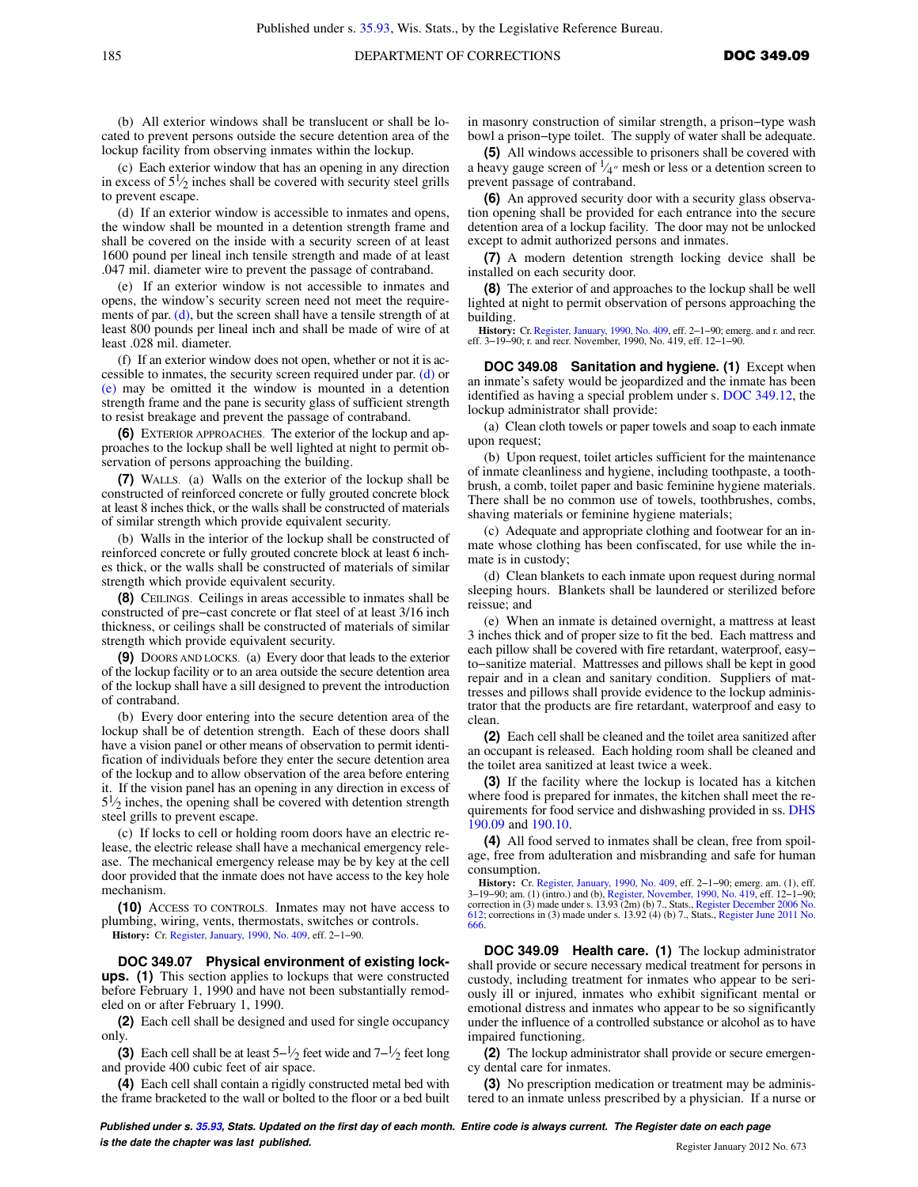(b) All exterior windows shall be translucent or shall be located to prevent persons outside the secure detention area of the lockup facility from observing inmates within the lockup.

(c) Each exterior window that has an opening in any direction in excess of  $5\frac{1}{2}$  inches shall be covered with security steel grills to prevent escape.

(d) If an exterior window is accessible to inmates and opens, the window shall be mounted in a detention strength frame and shall be covered on the inside with a security screen of at least 1600 pound per lineal inch tensile strength and made of at least .047 mil. diameter wire to prevent the passage of contraband.

(e) If an exterior window is not accessible to inmates and opens, the window's security screen need not meet the require-ments of par. [\(d\),](https://docs.legis.wisconsin.gov/document/administrativecode/DOC%20349.06(5)(d)) but the screen shall have a tensile strength of at least 800 pounds per lineal inch and shall be made of wire of at least .028 mil. diameter.

(f) If an exterior window does not open, whether or not it is accessible to inmates, the security screen required under par. [\(d\)](https://docs.legis.wisconsin.gov/document/administrativecode/DOC%20349.06(5)(d)) or [\(e\)](https://docs.legis.wisconsin.gov/document/administrativecode/DOC%20349.06(5)(e)) may be omitted it the window is mounted in a detention strength frame and the pane is security glass of sufficient strength to resist breakage and prevent the passage of contraband.

**(6)** EXTERIOR APPROACHES. The exterior of the lockup and approaches to the lockup shall be well lighted at night to permit observation of persons approaching the building.

**(7)** WALLS. (a) Walls on the exterior of the lockup shall be constructed of reinforced concrete or fully grouted concrete block at least 8 inches thick, or the walls shall be constructed of materials of similar strength which provide equivalent security.

(b) Walls in the interior of the lockup shall be constructed of reinforced concrete or fully grouted concrete block at least 6 inches thick, or the walls shall be constructed of materials of similar strength which provide equivalent security.

**(8)** CEILINGS. Ceilings in areas accessible to inmates shall be constructed of pre−cast concrete or flat steel of at least 3/16 inch thickness, or ceilings shall be constructed of materials of similar strength which provide equivalent security.

**(9)** DOORS AND LOCKS. (a) Every door that leads to the exterior of the lockup facility or to an area outside the secure detention area of the lockup shall have a sill designed to prevent the introduction of contraband.

(b) Every door entering into the secure detention area of the lockup shall be of detention strength. Each of these doors shall have a vision panel or other means of observation to permit identification of individuals before they enter the secure detention area of the lockup and to allow observation of the area before entering it. If the vision panel has an opening in any direction in excess of  $5\frac{1}{2}$  inches, the opening shall be covered with detention strength steel grills to prevent escape.

(c) If locks to cell or holding room doors have an electric release, the electric release shall have a mechanical emergency release. The mechanical emergency release may be by key at the cell door provided that the inmate does not have access to the key hole mechanism.

**(10)** ACCESS TO CONTROLS. Inmates may not have access to plumbing, wiring, vents, thermostats, switches or controls. **History:** Cr. [Register, January, 1990, No. 409](https://docs.legis.wisconsin.gov/document/register/409/B/toc), eff. 2−1−90.

**DOC 349.07 Physical environment of existing lockups. (1)** This section applies to lockups that were constructed before February 1, 1990 and have not been substantially remodeled on or after February 1, 1990.

**(2)** Each cell shall be designed and used for single occupancy only.

**(3)** Each cell shall be at least  $5-\frac{1}{2}$  feet wide and  $7-\frac{1}{2}$  feet long and provide 400 cubic feet of air space.

**(4)** Each cell shall contain a rigidly constructed metal bed with the frame bracketed to the wall or bolted to the floor or a bed built

in masonry construction of similar strength, a prison−type wash bowl a prison−type toilet. The supply of water shall be adequate.

**(5)** All windows accessible to prisoners shall be covered with a heavy gauge screen of  $\frac{1}{4}$  mesh or less or a detention screen to prevent passage of contraband.

**(6)** An approved security door with a security glass observation opening shall be provided for each entrance into the secure detention area of a lockup facility. The door may not be unlocked except to admit authorized persons and inmates.

**(7)** A modern detention strength locking device shall be installed on each security door.

**(8)** The exterior of and approaches to the lockup shall be well lighted at night to permit observation of persons approaching the building.

**History:** Cr. [Register, January, 1990, No. 409,](https://docs.legis.wisconsin.gov/document/register/409/B/toc) eff. 2−1−90; emerg. and r. and recr. eff. 3−19−90; r. and recr. November, 1990, No. 419, eff. 12−1−90.

**DOC 349.08 Sanitation and hygiene. (1)** Except when an inmate's safety would be jeopardized and the inmate has been identified as having a special problem under s. [DOC 349.12,](https://docs.legis.wisconsin.gov/document/administrativecode/DOC%20349.12) the lockup administrator shall provide:

(a) Clean cloth towels or paper towels and soap to each inmate upon request;

(b) Upon request, toilet articles sufficient for the maintenance of inmate cleanliness and hygiene, including toothpaste, a toothbrush, a comb, toilet paper and basic feminine hygiene materials. There shall be no common use of towels, toothbrushes, combs, shaving materials or feminine hygiene materials;

(c) Adequate and appropriate clothing and footwear for an inmate whose clothing has been confiscated, for use while the inmate is in custody;

(d) Clean blankets to each inmate upon request during normal sleeping hours. Blankets shall be laundered or sterilized before reissue; and

(e) When an inmate is detained overnight, a mattress at least 3 inches thick and of proper size to fit the bed. Each mattress and each pillow shall be covered with fire retardant, waterproof, easyto−sanitize material. Mattresses and pillows shall be kept in good repair and in a clean and sanitary condition. Suppliers of mattresses and pillows shall provide evidence to the lockup administrator that the products are fire retardant, waterproof and easy to clean.

**(2)** Each cell shall be cleaned and the toilet area sanitized after an occupant is released. Each holding room shall be cleaned and the toilet area sanitized at least twice a week.

**(3)** If the facility where the lockup is located has a kitchen where food is prepared for inmates, the kitchen shall meet the requirements for food service and dishwashing provided in ss. [DHS](https://docs.legis.wisconsin.gov/document/administrativecode/DHS%20190.09) [190.09](https://docs.legis.wisconsin.gov/document/administrativecode/DHS%20190.09) and [190.10.](https://docs.legis.wisconsin.gov/document/administrativecode/DHS%20190.10)

**(4)** All food served to inmates shall be clean, free from spoilage, free from adulteration and misbranding and safe for human consumption.

**History:** Cr. [Register, January, 1990, No. 409](https://docs.legis.wisconsin.gov/document/register/409/B/toc), eff. 2−1−90; emerg. am. (1), eff. 3−19−90; am. (1) (intro.) and (b), [Register, November, 1990, No. 419,](https://docs.legis.wisconsin.gov/document/register/419/B/toc) eff. 12−1−90; correction in (3) made under s. 13.93 (2m) (b) 7., Stats., [Register December 2006 No.](https://docs.legis.wisconsin.gov/document/register/612/B/toc) [612;](https://docs.legis.wisconsin.gov/document/register/612/B/toc) corrections in (3) made under s. 13.92 (4) (b) 7., Stats., [Register June 2011 No.](https://docs.legis.wisconsin.gov/document/register/666/B/toc) [666.](https://docs.legis.wisconsin.gov/document/register/666/B/toc)

**DOC 349.09 Health care. (1)** The lockup administrator shall provide or secure necessary medical treatment for persons in custody, including treatment for inmates who appear to be seriously ill or injured, inmates who exhibit significant mental or emotional distress and inmates who appear to be so significantly under the influence of a controlled substance or alcohol as to have impaired functioning.

**(2)** The lockup administrator shall provide or secure emergency dental care for inmates.

**(3)** No prescription medication or treatment may be administered to an inmate unless prescribed by a physician. If a nurse or

**Published under s. [35.93,](https://docs.legis.wisconsin.gov/document/statutes/35.93) Stats. Updated on the first day of each month. Entire code is always current. The Register date on each page is the date the chapter was last published. Compared the chapter of the chapter of the date the chapter vasi and the chapter of the chapter of the chapter of the chapter of the chapter of the chapter of the chapter of t**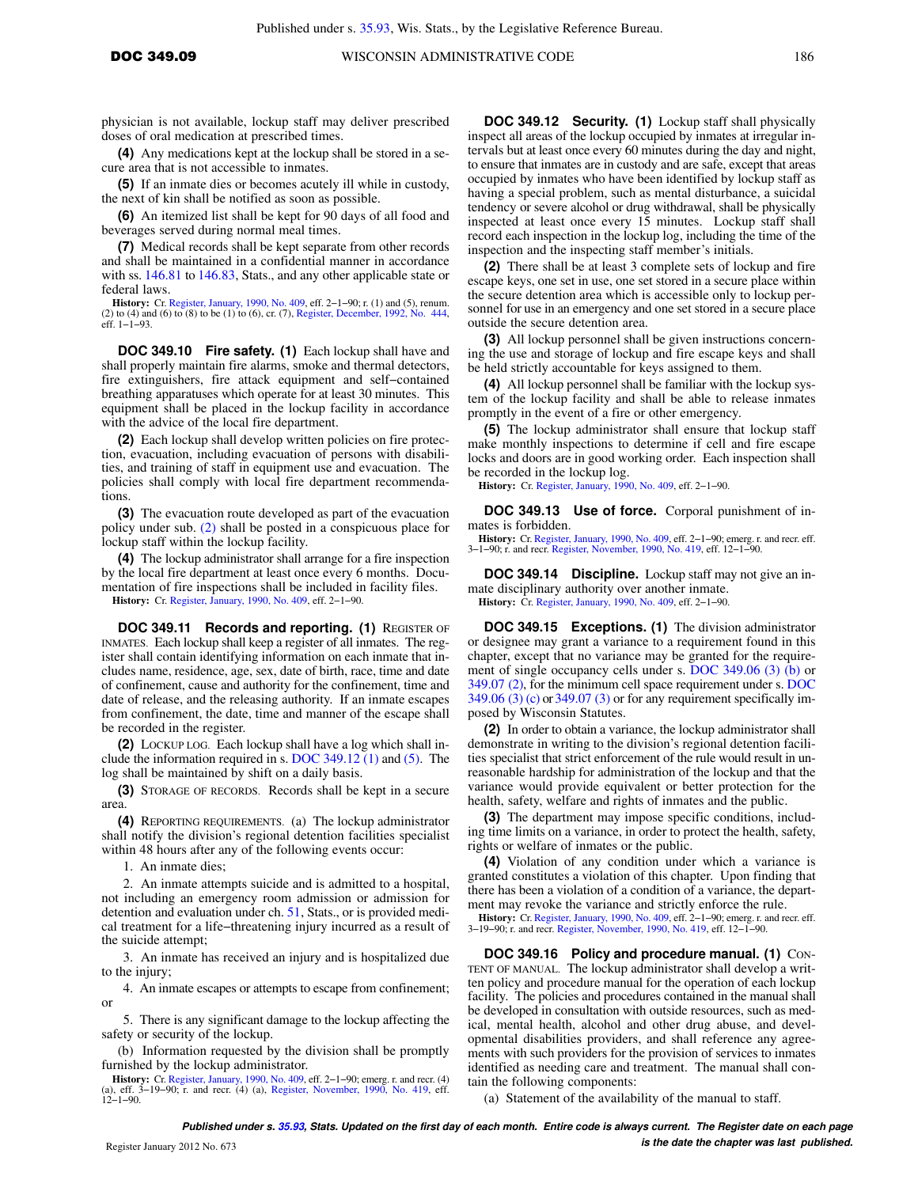physician is not available, lockup staff may deliver prescribed doses of oral medication at prescribed times.

**(4)** Any medications kept at the lockup shall be stored in a secure area that is not accessible to inmates.

**(5)** If an inmate dies or becomes acutely ill while in custody, the next of kin shall be notified as soon as possible.

**(6)** An itemized list shall be kept for 90 days of all food and beverages served during normal meal times.

**(7)** Medical records shall be kept separate from other records and shall be maintained in a confidential manner in accordance with ss. [146.81](https://docs.legis.wisconsin.gov/document/statutes/146.81) to [146.83](https://docs.legis.wisconsin.gov/document/statutes/146.83), Stats., and any other applicable state or federal laws.

**History:** Cr. [Register, January, 1990, No. 409](https://docs.legis.wisconsin.gov/document/register/409/B/toc), eff. 2–1–90; r. (1) and (5), renum. (2) to (4) and (6) to (8) to be (1) to (6), cr. (7), [Register, December, 1992, No. 444](https://docs.legis.wisconsin.gov/document/register/444/B/toc), eff. 1−1−93.

**DOC 349.10 Fire safety. (1)** Each lockup shall have and shall properly maintain fire alarms, smoke and thermal detectors, fire extinguishers, fire attack equipment and self−contained breathing apparatuses which operate for at least 30 minutes. This equipment shall be placed in the lockup facility in accordance with the advice of the local fire department.

**(2)** Each lockup shall develop written policies on fire protection, evacuation, including evacuation of persons with disabilities, and training of staff in equipment use and evacuation. The policies shall comply with local fire department recommendations

**(3)** The evacuation route developed as part of the evacuation policy under sub. [\(2\)](https://docs.legis.wisconsin.gov/document/administrativecode/DOC%20349.10(2)) shall be posted in a conspicuous place for lockup staff within the lockup facility.

**(4)** The lockup administrator shall arrange for a fire inspection by the local fire department at least once every 6 months. Documentation of fire inspections shall be included in facility files.

**History:** Cr. [Register, January, 1990, No. 409](https://docs.legis.wisconsin.gov/document/register/409/B/toc), eff. 2−1−90.

**DOC 349.11 Records and reporting. (1)** REGISTER OF INMATES. Each lockup shall keep a register of all inmates. The register shall contain identifying information on each inmate that includes name, residence, age, sex, date of birth, race, time and date of confinement, cause and authority for the confinement, time and date of release, and the releasing authority. If an inmate escapes from confinement, the date, time and manner of the escape shall be recorded in the register.

**(2)** LOCKUP LOG. Each lockup shall have a log which shall include the information required in s. [DOC 349.12 \(1\)](https://docs.legis.wisconsin.gov/document/administrativecode/DOC%20349.12(1)) and [\(5\)](https://docs.legis.wisconsin.gov/document/administrativecode/DOC%20349.12(5)). The log shall be maintained by shift on a daily basis.

**(3)** STORAGE OF RECORDS. Records shall be kept in a secure area.

**(4)** REPORTING REQUIREMENTS. (a) The lockup administrator shall notify the division's regional detention facilities specialist within 48 hours after any of the following events occur:

1. An inmate dies;

2. An inmate attempts suicide and is admitted to a hospital, not including an emergency room admission or admission for detention and evaluation under ch. [51,](https://docs.legis.wisconsin.gov/document/statutes/ch.%2051) Stats., or is provided medical treatment for a life−threatening injury incurred as a result of the suicide attempt;

3. An inmate has received an injury and is hospitalized due to the injury;

4. An inmate escapes or attempts to escape from confinement; or

5. There is any significant damage to the lockup affecting the safety or security of the lockup.

(b) Information requested by the division shall be promptly furnished by the lockup administrator.

**History:** Cr. [Register, January, 1990, No. 409,](https://docs.legis.wisconsin.gov/document/register/409/B/toc) eff. 2–1–90; emerg. r. and recr. (4) (a), eff. 3–19–90; r. and recr. (4) (a), [Register, November, 1990, No. 419,](https://docs.legis.wisconsin.gov/document/register/419/B/toc) eff.  $12-1-90$ .

**DOC 349.12 Security. (1)** Lockup staff shall physically inspect all areas of the lockup occupied by inmates at irregular intervals but at least once every 60 minutes during the day and night, to ensure that inmates are in custody and are safe, except that areas occupied by inmates who have been identified by lockup staff as having a special problem, such as mental disturbance, a suicidal tendency or severe alcohol or drug withdrawal, shall be physically inspected at least once every 15 minutes. Lockup staff shall record each inspection in the lockup log, including the time of the inspection and the inspecting staff member's initials.

**(2)** There shall be at least 3 complete sets of lockup and fire escape keys, one set in use, one set stored in a secure place within the secure detention area which is accessible only to lockup personnel for use in an emergency and one set stored in a secure place outside the secure detention area.

**(3)** All lockup personnel shall be given instructions concerning the use and storage of lockup and fire escape keys and shall be held strictly accountable for keys assigned to them.

**(4)** All lockup personnel shall be familiar with the lockup system of the lockup facility and shall be able to release inmates promptly in the event of a fire or other emergency.

**(5)** The lockup administrator shall ensure that lockup staff make monthly inspections to determine if cell and fire escape locks and doors are in good working order. Each inspection shall be recorded in the lockup log.

**History:** Cr. [Register, January, 1990, No. 409](https://docs.legis.wisconsin.gov/document/register/409/B/toc), eff. 2−1−90.

**DOC 349.13 Use of force.** Corporal punishment of inmates is forbidden.

**History:** Cr. [Register, January, 1990, No. 409](https://docs.legis.wisconsin.gov/document/register/409/B/toc), eff. 2−1−90; emerg. r. and recr. eff. 3−1−90; r. and recr. [Register, November, 1990, No. 419,](https://docs.legis.wisconsin.gov/document/register/419/B/toc) eff. 12−1−90.

**DOC 349.14 Discipline.** Lockup staff may not give an inmate disciplinary authority over another inmate.

**History:** Cr. [Register, January, 1990, No. 409](https://docs.legis.wisconsin.gov/document/register/409/B/toc), eff. 2−1−90.

**DOC 349.15 Exceptions. (1)** The division administrator or designee may grant a variance to a requirement found in this chapter, except that no variance may be granted for the requirement of single occupancy cells under s. [DOC 349.06 \(3\) \(b\)](https://docs.legis.wisconsin.gov/document/administrativecode/DOC%20349.06(3)(b)) or [349.07 \(2\)](https://docs.legis.wisconsin.gov/document/administrativecode/DOC%20349.07(2)), for the minimum cell space requirement under s. [DOC](https://docs.legis.wisconsin.gov/document/administrativecode/DOC%20349.06(3)(c)) [349.06 \(3\) \(c\)](https://docs.legis.wisconsin.gov/document/administrativecode/DOC%20349.06(3)(c)) or [349.07 \(3\)](https://docs.legis.wisconsin.gov/document/administrativecode/DOC%20349.07(3)) or for any requirement specifically imposed by Wisconsin Statutes.

**(2)** In order to obtain a variance, the lockup administrator shall demonstrate in writing to the division's regional detention facilities specialist that strict enforcement of the rule would result in unreasonable hardship for administration of the lockup and that the variance would provide equivalent or better protection for the health, safety, welfare and rights of inmates and the public.

**(3)** The department may impose specific conditions, including time limits on a variance, in order to protect the health, safety, rights or welfare of inmates or the public.

**(4)** Violation of any condition under which a variance is granted constitutes a violation of this chapter. Upon finding that there has been a violation of a condition of a variance, the department may revoke the variance and strictly enforce the rule.

**History:** Cr. [Register, January, 1990, No. 409](https://docs.legis.wisconsin.gov/document/register/409/B/toc), eff. 2−1−90; emerg. r. and recr. eff. 3−19−90; r. and recr. [Register, November, 1990, No. 419](https://docs.legis.wisconsin.gov/document/register/419/B/toc), eff. 12−1−90.

**DOC 349.16 Policy and procedure manual. (1)** CON-TENT OF MANUAL. The lockup administrator shall develop a written policy and procedure manual for the operation of each lockup facility. The policies and procedures contained in the manual shall be developed in consultation with outside resources, such as medical, mental health, alcohol and other drug abuse, and developmental disabilities providers, and shall reference any agreements with such providers for the provision of services to inmates identified as needing care and treatment. The manual shall contain the following components:

(a) Statement of the availability of the manual to staff.

**Published under s. [35.93,](https://docs.legis.wisconsin.gov/document/statutes/35.93) Stats. Updated on the first day of each month. Entire code is always current. The Register date on each page is the date the chapter was last published.** Register January 2012 No. 673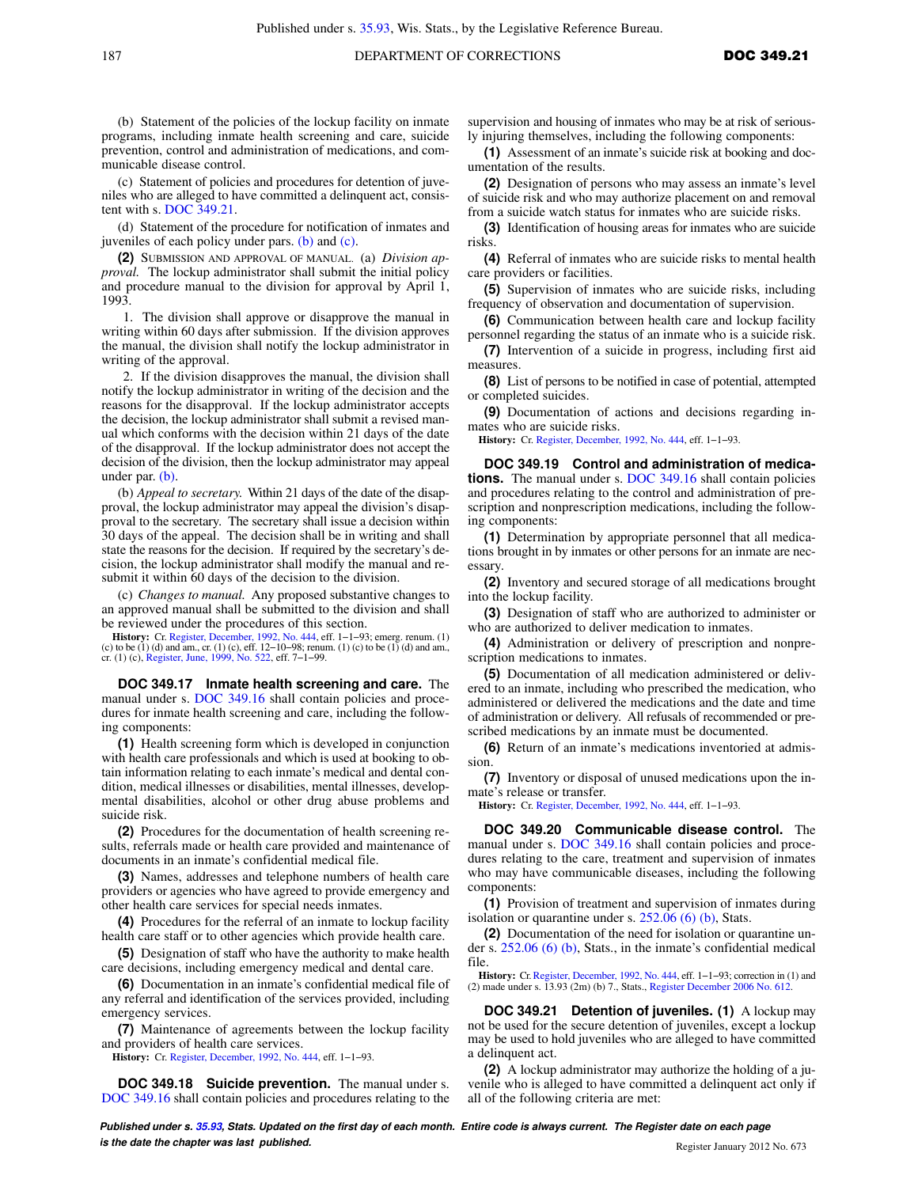(b) Statement of the policies of the lockup facility on inmate programs, including inmate health screening and care, suicide prevention, control and administration of medications, and communicable disease control.

(c) Statement of policies and procedures for detention of juveniles who are alleged to have committed a delinquent act, consistent with s. [DOC 349.21](https://docs.legis.wisconsin.gov/document/administrativecode/DOC%20349.21).

(d) Statement of the procedure for notification of inmates and juveniles of each policy under pars. [\(b\)](https://docs.legis.wisconsin.gov/document/administrativecode/DOC%20349.16(1)(b)) and [\(c\).](https://docs.legis.wisconsin.gov/document/administrativecode/DOC%20349.16(1)(c))

**(2)** SUBMISSION AND APPROVAL OF MANUAL. (a) *Division approval.* The lockup administrator shall submit the initial policy and procedure manual to the division for approval by April 1, 1993.

1. The division shall approve or disapprove the manual in writing within 60 days after submission. If the division approves the manual, the division shall notify the lockup administrator in writing of the approval.

2. If the division disapproves the manual, the division shall notify the lockup administrator in writing of the decision and the reasons for the disapproval. If the lockup administrator accepts the decision, the lockup administrator shall submit a revised manual which conforms with the decision within 21 days of the date of the disapproval. If the lockup administrator does not accept the decision of the division, then the lockup administrator may appeal under par. [\(b\).](https://docs.legis.wisconsin.gov/document/administrativecode/DOC%20349.16(2)(b))

(b) *Appeal to secretary.* Within 21 days of the date of the disapproval, the lockup administrator may appeal the division's disapproval to the secretary. The secretary shall issue a decision within 30 days of the appeal. The decision shall be in writing and shall state the reasons for the decision. If required by the secretary's decision, the lockup administrator shall modify the manual and resubmit it within 60 days of the decision to the division.

(c) *Changes to manual.* Any proposed substantive changes to an approved manual shall be submitted to the division and shall be reviewed under the procedures of this section.

**History:** Cr. [Register, December, 1992, No. 444,](https://docs.legis.wisconsin.gov/document/register/444/B/toc) eff. 1−1−93; emerg. renum. (1) (c) to be (1) (d) and am., cr. (1) (c), eff. 12−10−98; renum. (1) (c) to be (1) (d) and am., cr. (1) (c), [Register, June, 1999, No. 522,](https://docs.legis.wisconsin.gov/document/register/522/B/toc) eff. 7−1−99.

**DOC 349.17 Inmate health screening and care.** The manual under s. [DOC 349.16](https://docs.legis.wisconsin.gov/document/administrativecode/DOC%20349.16) shall contain policies and procedures for inmate health screening and care, including the following components:

**(1)** Health screening form which is developed in conjunction with health care professionals and which is used at booking to obtain information relating to each inmate's medical and dental condition, medical illnesses or disabilities, mental illnesses, developmental disabilities, alcohol or other drug abuse problems and suicide risk.

**(2)** Procedures for the documentation of health screening results, referrals made or health care provided and maintenance of documents in an inmate's confidential medical file.

**(3)** Names, addresses and telephone numbers of health care providers or agencies who have agreed to provide emergency and other health care services for special needs inmates.

**(4)** Procedures for the referral of an inmate to lockup facility health care staff or to other agencies which provide health care.

**(5)** Designation of staff who have the authority to make health care decisions, including emergency medical and dental care.

**(6)** Documentation in an inmate's confidential medical file of any referral and identification of the services provided, including emergency services.

**(7)** Maintenance of agreements between the lockup facility and providers of health care services.

**History:** Cr. [Register, December, 1992, No. 444](https://docs.legis.wisconsin.gov/document/register/444/B/toc), eff. 1−1−93.

**DOC 349.18 Suicide prevention.** The manual under s. [DOC 349.16](https://docs.legis.wisconsin.gov/document/administrativecode/DOC%20349.16) shall contain policies and procedures relating to the

supervision and housing of inmates who may be at risk of seriously injuring themselves, including the following components:

**(1)** Assessment of an inmate's suicide risk at booking and documentation of the results.

**(2)** Designation of persons who may assess an inmate's level of suicide risk and who may authorize placement on and removal from a suicide watch status for inmates who are suicide risks.

**(3)** Identification of housing areas for inmates who are suicide risks.

**(4)** Referral of inmates who are suicide risks to mental health care providers or facilities.

**(5)** Supervision of inmates who are suicide risks, including frequency of observation and documentation of supervision.

**(6)** Communication between health care and lockup facility personnel regarding the status of an inmate who is a suicide risk.

**(7)** Intervention of a suicide in progress, including first aid measures.

**(8)** List of persons to be notified in case of potential, attempted or completed suicides.

**(9)** Documentation of actions and decisions regarding inmates who are suicide risks.

**History:** Cr. [Register, December, 1992, No. 444,](https://docs.legis.wisconsin.gov/document/register/444/B/toc) eff. 1−1−93.

**DOC 349.19 Control and administration of medications.** The manual under s. [DOC 349.16](https://docs.legis.wisconsin.gov/document/administrativecode/DOC%20349.16) shall contain policies and procedures relating to the control and administration of prescription and nonprescription medications, including the following components:

**(1)** Determination by appropriate personnel that all medications brought in by inmates or other persons for an inmate are necessary.

**(2)** Inventory and secured storage of all medications brought into the lockup facility.

**(3)** Designation of staff who are authorized to administer or who are authorized to deliver medication to inmates.

**(4)** Administration or delivery of prescription and nonprescription medications to inmates.

**(5)** Documentation of all medication administered or delivered to an inmate, including who prescribed the medication, who administered or delivered the medications and the date and time of administration or delivery. All refusals of recommended or prescribed medications by an inmate must be documented.

**(6)** Return of an inmate's medications inventoried at admission.

**(7)** Inventory or disposal of unused medications upon the inmate's release or transfer.

**History:** Cr. [Register, December, 1992, No. 444,](https://docs.legis.wisconsin.gov/document/register/444/B/toc) eff. 1−1−93.

**DOC 349.20 Communicable disease control.** The manual under s. [DOC 349.16](https://docs.legis.wisconsin.gov/document/administrativecode/DOC%20349.16) shall contain policies and procedures relating to the care, treatment and supervision of inmates who may have communicable diseases, including the following components:

**(1)** Provision of treatment and supervision of inmates during isolation or quarantine under s.  $252.06$  (6) (b), Stats.

**(2)** Documentation of the need for isolation or quarantine under s. [252.06 \(6\) \(b\)](https://docs.legis.wisconsin.gov/document/statutes/252.06(6)(b)), Stats., in the inmate's confidential medical file.

History: Cr. [Register, December, 1992, No. 444,](https://docs.legis.wisconsin.gov/document/register/444/B/toc) eff. 1-1-93; correction in (1) and (2) made under s. 13.93 (2m) (b) 7., Stats., [Register December 2006 No. 612](https://docs.legis.wisconsin.gov/document/register/612/B/toc).

**DOC 349.21 Detention of juveniles. (1)** A lockup may not be used for the secure detention of juveniles, except a lockup may be used to hold juveniles who are alleged to have committed a delinquent act.

**(2)** A lockup administrator may authorize the holding of a juvenile who is alleged to have committed a delinquent act only if all of the following criteria are met:

**Published under s. [35.93,](https://docs.legis.wisconsin.gov/document/statutes/35.93) Stats. Updated on the first day of each month. Entire code is always current. The Register date on each page is the date the chapter was last published. Compared the chapter of the chapter of the date the chapter vasi and the chapter of the chapter of the chapter of the chapter of the chapter of the chapter of the chapter of t**